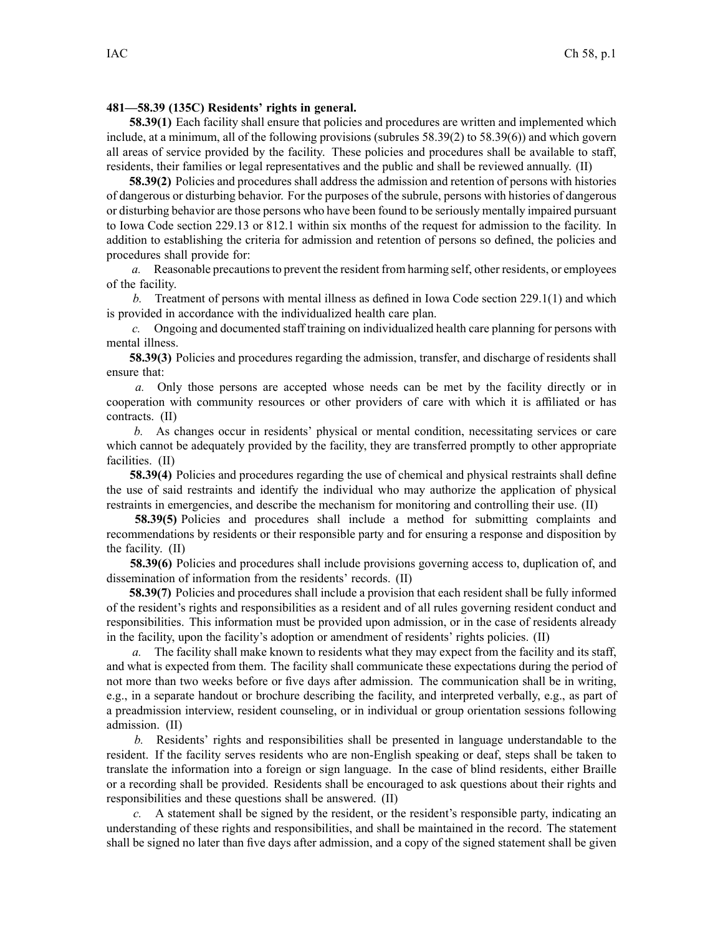## **481—58.39 (135C) Residents' rights in general.**

**58.39(1)** Each facility shall ensure that policies and procedures are written and implemented which include, at <sup>a</sup> minimum, all of the following provisions (subrules 58.39(2) to 58.39(6)) and which govern all areas of service provided by the facility. These policies and procedures shall be available to staff, residents, their families or legal representatives and the public and shall be reviewed annually. (II)

**58.39(2)** Policies and procedures shall address the admission and retention of persons with histories of dangerous or disturbing behavior. For the purposes of the subrule, persons with histories of dangerous or disturbing behavior are those persons who have been found to be seriously mentally impaired pursuan<sup>t</sup> to Iowa Code section [229.13](https://www.legis.iowa.gov/docs/ico/section/229.13.pdf) or [812.1](https://www.legis.iowa.gov/docs/ico/section/812.1.pdf) within six months of the reques<sup>t</sup> for admission to the facility. In addition to establishing the criteria for admission and retention of persons so defined, the policies and procedures shall provide for:

*a.* Reasonable precautionsto preven<sup>t</sup> the resident from harming self, other residents, or employees of the facility.

*b.* Treatment of persons with mental illness as defined in Iowa Code section [229.1\(1\)](https://www.legis.iowa.gov/docs/ico/section/229.1.pdf) and which is provided in accordance with the individualized health care plan.

*c.* Ongoing and documented staff training on individualized health care planning for persons with mental illness.

**58.39(3)** Policies and procedures regarding the admission, transfer, and discharge of residents shall ensure that:

*a.* Only those persons are accepted whose needs can be met by the facility directly or in cooperation with community resources or other providers of care with which it is affiliated or has contracts. (II)

*b.* As changes occur in residents' physical or mental condition, necessitating services or care which cannot be adequately provided by the facility, they are transferred promptly to other appropriate facilities. (II)

**58.39(4)** Policies and procedures regarding the use of chemical and physical restraints shall define the use of said restraints and identify the individual who may authorize the application of physical restraints in emergencies, and describe the mechanism for monitoring and controlling their use. (II)

**58.39(5)** Policies and procedures shall include <sup>a</sup> method for submitting complaints and recommendations by residents or their responsible party and for ensuring <sup>a</sup> response and disposition by the facility. (II)

**58.39(6)** Policies and procedures shall include provisions governing access to, duplication of, and dissemination of information from the residents' records. (II)

**58.39(7)** Policies and procedures shall include <sup>a</sup> provision that each resident shall be fully informed of the resident's rights and responsibilities as <sup>a</sup> resident and of all rules governing resident conduct and responsibilities. This information must be provided upon admission, or in the case of residents already in the facility, upon the facility's adoption or amendment of residents' rights policies. (II)

*a.* The facility shall make known to residents what they may expec<sup>t</sup> from the facility and its staff, and what is expected from them. The facility shall communicate these expectations during the period of not more than two weeks before or five days after admission. The communication shall be in writing, e.g., in <sup>a</sup> separate handout or brochure describing the facility, and interpreted verbally, e.g., as par<sup>t</sup> of <sup>a</sup> preadmission interview, resident counseling, or in individual or group orientation sessions following admission. (II)

*b.* Residents' rights and responsibilities shall be presented in language understandable to the resident. If the facility serves residents who are non-English speaking or deaf, steps shall be taken to translate the information into <sup>a</sup> foreign or sign language. In the case of blind residents, either Braille or <sup>a</sup> recording shall be provided. Residents shall be encouraged to ask questions about their rights and responsibilities and these questions shall be answered. (II)

*c.* A statement shall be signed by the resident, or the resident's responsible party, indicating an understanding of these rights and responsibilities, and shall be maintained in the record. The statement shall be signed no later than five days after admission, and <sup>a</sup> copy of the signed statement shall be given